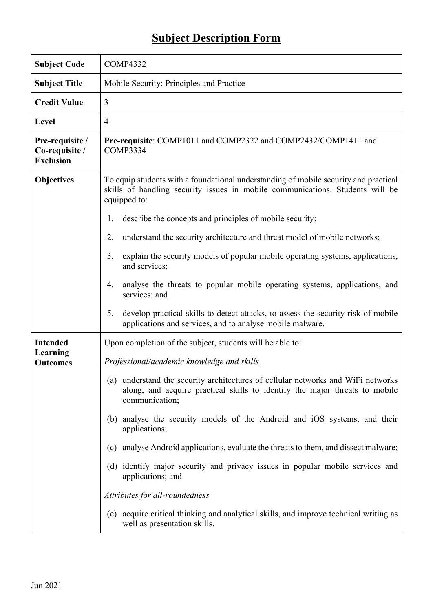## **Subject Description Form**

| <b>Subject Code</b>                                   | <b>COMP4332</b>                                                                                                                                                                                                                                                                                                                                                                                                                                                                                                                                                                                                                                                                                                                                        |
|-------------------------------------------------------|--------------------------------------------------------------------------------------------------------------------------------------------------------------------------------------------------------------------------------------------------------------------------------------------------------------------------------------------------------------------------------------------------------------------------------------------------------------------------------------------------------------------------------------------------------------------------------------------------------------------------------------------------------------------------------------------------------------------------------------------------------|
| <b>Subject Title</b>                                  | Mobile Security: Principles and Practice                                                                                                                                                                                                                                                                                                                                                                                                                                                                                                                                                                                                                                                                                                               |
| <b>Credit Value</b>                                   | 3                                                                                                                                                                                                                                                                                                                                                                                                                                                                                                                                                                                                                                                                                                                                                      |
| Level                                                 | 4                                                                                                                                                                                                                                                                                                                                                                                                                                                                                                                                                                                                                                                                                                                                                      |
| Pre-requisite /<br>Co-requisite /<br><b>Exclusion</b> | Pre-requisite: COMP1011 and COMP2322 and COMP2432/COMP1411 and<br>COMP3334                                                                                                                                                                                                                                                                                                                                                                                                                                                                                                                                                                                                                                                                             |
| <b>Objectives</b>                                     | To equip students with a foundational understanding of mobile security and practical<br>skills of handling security issues in mobile communications. Students will be<br>equipped to:<br>describe the concepts and principles of mobile security;<br>1.<br>understand the security architecture and threat model of mobile networks;<br>2.<br>explain the security models of popular mobile operating systems, applications,<br>3.<br>and services;<br>analyse the threats to popular mobile operating systems, applications, and<br>4.<br>services; and                                                                                                                                                                                               |
|                                                       | develop practical skills to detect attacks, to assess the security risk of mobile<br>5.<br>applications and services, and to analyse mobile malware.                                                                                                                                                                                                                                                                                                                                                                                                                                                                                                                                                                                                   |
| <b>Intended</b><br>Learning<br><b>Outcomes</b>        | Upon completion of the subject, students will be able to:<br>Professional/academic knowledge and skills<br>(a) understand the security architectures of cellular networks and WiFi networks<br>along, and acquire practical skills to identify the major threats to mobile<br>communication;<br>(b) analyse the security models of the Android and iOS systems, and their<br>applications;<br>analyse Android applications, evaluate the threats to them, and dissect malware;<br>(c)<br>(d) identify major security and privacy issues in popular mobile services and<br>applications; and<br>Attributes for all-roundedness<br>(e) acquire critical thinking and analytical skills, and improve technical writing as<br>well as presentation skills. |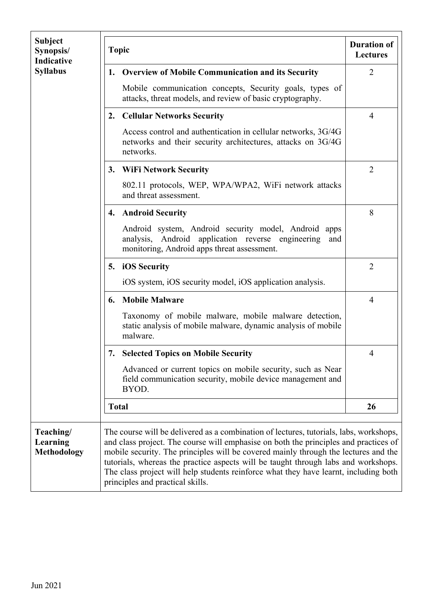| <b>Subject</b><br>Synopsis/<br>Indicative | <b>Topic</b> | <b>Duration of</b><br><b>Lectures</b>                                                                                                                                                                                                                                                                                                                                                                                                                                                   |                |
|-------------------------------------------|--------------|-----------------------------------------------------------------------------------------------------------------------------------------------------------------------------------------------------------------------------------------------------------------------------------------------------------------------------------------------------------------------------------------------------------------------------------------------------------------------------------------|----------------|
| <b>Syllabus</b>                           | 1.           | <b>Overview of Mobile Communication and its Security</b>                                                                                                                                                                                                                                                                                                                                                                                                                                | 2              |
|                                           |              | Mobile communication concepts, Security goals, types of<br>attacks, threat models, and review of basic cryptography.                                                                                                                                                                                                                                                                                                                                                                    |                |
|                                           |              | 2. Cellular Networks Security                                                                                                                                                                                                                                                                                                                                                                                                                                                           | 4              |
|                                           |              | Access control and authentication in cellular networks, 3G/4G<br>networks and their security architectures, attacks on 3G/4G<br>networks.                                                                                                                                                                                                                                                                                                                                               |                |
|                                           | 3.           | <b>WiFi Network Security</b>                                                                                                                                                                                                                                                                                                                                                                                                                                                            | $\overline{2}$ |
|                                           |              | 802.11 protocols, WEP, WPA/WPA2, WiFi network attacks<br>and threat assessment.                                                                                                                                                                                                                                                                                                                                                                                                         |                |
|                                           | 4.           | <b>Android Security</b>                                                                                                                                                                                                                                                                                                                                                                                                                                                                 | 8              |
|                                           |              | Android system, Android security model, Android apps<br>analysis, Android application reverse engineering<br>and<br>monitoring, Android apps threat assessment.                                                                                                                                                                                                                                                                                                                         |                |
|                                           | 5.           | iOS Security                                                                                                                                                                                                                                                                                                                                                                                                                                                                            | $\overline{2}$ |
|                                           |              | iOS system, iOS security model, iOS application analysis.                                                                                                                                                                                                                                                                                                                                                                                                                               |                |
|                                           | 6.           | <b>Mobile Malware</b>                                                                                                                                                                                                                                                                                                                                                                                                                                                                   | $\overline{4}$ |
|                                           |              | Taxonomy of mobile malware, mobile malware detection,<br>static analysis of mobile malware, dynamic analysis of mobile<br>malware.                                                                                                                                                                                                                                                                                                                                                      |                |
|                                           | 7.           | <b>Selected Topics on Mobile Security</b>                                                                                                                                                                                                                                                                                                                                                                                                                                               | 4              |
|                                           |              | Advanced or current topics on mobile security, such as Near<br>field communication security, mobile device management and<br>BYOD.                                                                                                                                                                                                                                                                                                                                                      |                |
|                                           |              | <b>Total</b>                                                                                                                                                                                                                                                                                                                                                                                                                                                                            | 26             |
| Teaching/<br>Learning<br>Methodology      |              | The course will be delivered as a combination of lectures, tutorials, labs, workshops,<br>and class project. The course will emphasise on both the principles and practices of<br>mobile security. The principles will be covered mainly through the lectures and the<br>tutorials, whereas the practice aspects will be taught through labs and workshops.<br>The class project will help students reinforce what they have learnt, including both<br>principles and practical skills. |                |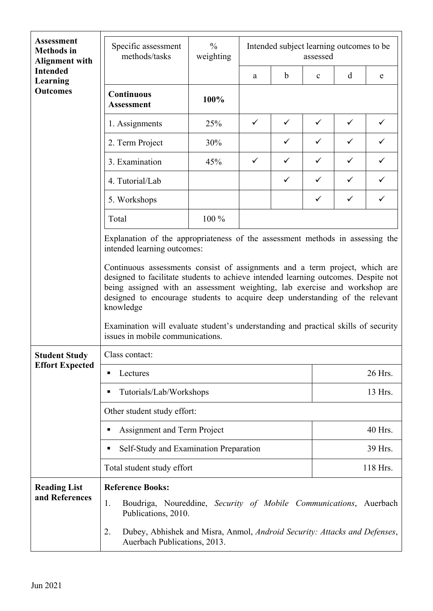| <b>Assessment</b><br><b>Methods</b> in<br><b>Alignment with</b><br><b>Intended</b><br>Learning<br><b>Outcomes</b> | $\frac{0}{0}$<br>Specific assessment<br>methods/tasks<br>weighting                                                                                                                                                                                                                                                                                                                                                                                                     |       |              |              |              | Intended subject learning outcomes to be<br>assessed |              |  |
|-------------------------------------------------------------------------------------------------------------------|------------------------------------------------------------------------------------------------------------------------------------------------------------------------------------------------------------------------------------------------------------------------------------------------------------------------------------------------------------------------------------------------------------------------------------------------------------------------|-------|--------------|--------------|--------------|------------------------------------------------------|--------------|--|
|                                                                                                                   |                                                                                                                                                                                                                                                                                                                                                                                                                                                                        |       | a            | $\mathbf b$  | $\mathbf{C}$ | d                                                    | e            |  |
|                                                                                                                   | <b>Continuous</b><br><b>Assessment</b>                                                                                                                                                                                                                                                                                                                                                                                                                                 | 100%  |              |              |              |                                                      |              |  |
|                                                                                                                   | 1. Assignments                                                                                                                                                                                                                                                                                                                                                                                                                                                         | 25%   | $\checkmark$ | $\checkmark$ | $\checkmark$ | $\checkmark$                                         | $\checkmark$ |  |
|                                                                                                                   | 2. Term Project                                                                                                                                                                                                                                                                                                                                                                                                                                                        | 30%   |              | $\checkmark$ | $\checkmark$ | $\checkmark$                                         | ✓            |  |
|                                                                                                                   | 3. Examination                                                                                                                                                                                                                                                                                                                                                                                                                                                         | 45%   | $\checkmark$ | $\checkmark$ | $\checkmark$ | $\checkmark$                                         | ✓            |  |
|                                                                                                                   | 4. Tutorial/Lab                                                                                                                                                                                                                                                                                                                                                                                                                                                        |       |              | $\checkmark$ | $\checkmark$ | $\checkmark$                                         | $\checkmark$ |  |
|                                                                                                                   | 5. Workshops                                                                                                                                                                                                                                                                                                                                                                                                                                                           |       |              |              | $\checkmark$ | $\checkmark$                                         | ✓            |  |
|                                                                                                                   | Total                                                                                                                                                                                                                                                                                                                                                                                                                                                                  | 100 % |              |              |              |                                                      |              |  |
|                                                                                                                   | Explanation of the appropriateness of the assessment methods in assessing the<br>intended learning outcomes:                                                                                                                                                                                                                                                                                                                                                           |       |              |              |              |                                                      |              |  |
|                                                                                                                   | Continuous assessments consist of assignments and a term project, which are<br>designed to facilitate students to achieve intended learning outcomes. Despite not<br>being assigned with an assessment weighting, lab exercise and workshop are<br>designed to encourage students to acquire deep understanding of the relevant<br>knowledge<br>Examination will evaluate student's understanding and practical skills of security<br>issues in mobile communications. |       |              |              |              |                                                      |              |  |
| <b>Student Study</b>                                                                                              | Class contact:                                                                                                                                                                                                                                                                                                                                                                                                                                                         |       |              |              |              |                                                      |              |  |
| <b>Effort Expected</b>                                                                                            | Lectures                                                                                                                                                                                                                                                                                                                                                                                                                                                               |       |              |              |              | 26 Hrs.                                              |              |  |
|                                                                                                                   | Tutorials/Lab/Workshops                                                                                                                                                                                                                                                                                                                                                                                                                                                |       |              |              |              | 13 Hrs.                                              |              |  |
|                                                                                                                   | Other student study effort:                                                                                                                                                                                                                                                                                                                                                                                                                                            |       |              |              |              |                                                      |              |  |
|                                                                                                                   | Assignment and Term Project                                                                                                                                                                                                                                                                                                                                                                                                                                            |       |              |              |              | 40 Hrs.                                              |              |  |
|                                                                                                                   | Self-Study and Examination Preparation                                                                                                                                                                                                                                                                                                                                                                                                                                 |       |              |              |              | 39 Hrs.                                              |              |  |
|                                                                                                                   | Total student study effort<br>118 Hrs.                                                                                                                                                                                                                                                                                                                                                                                                                                 |       |              |              |              |                                                      |              |  |
| <b>Reading List</b><br>and References                                                                             | <b>Reference Books:</b><br>1.<br>Boudriga, Noureddine, Security of Mobile Communications, Auerbach<br>Publications, 2010.<br>Dubey, Abhishek and Misra, Anmol, Android Security: Attacks and Defenses,<br>2.<br>Auerbach Publications, 2013.                                                                                                                                                                                                                           |       |              |              |              |                                                      |              |  |